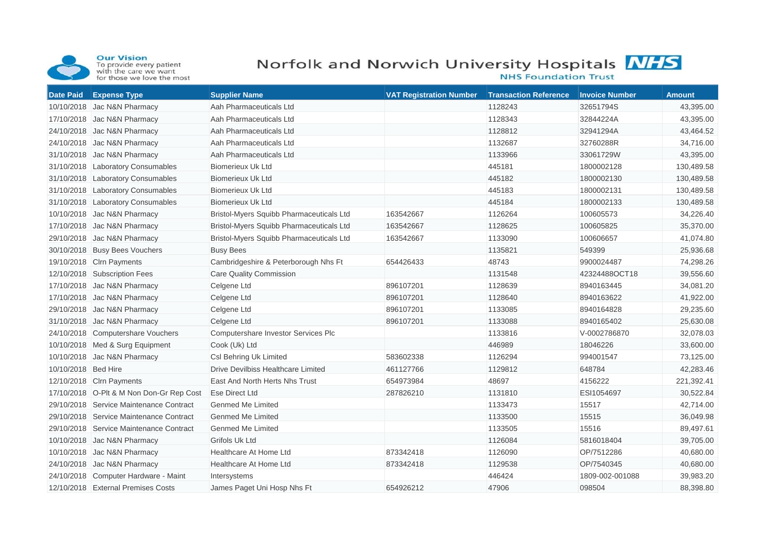

**Our Vision**<br>To provide every patient<br>with the care we want<br>for those we love the most

## Norfolk and Norwich University Hospitals MHS



**NHS Foundation Trust** 

| <b>Date Paid</b>    | <b>Expense Type</b>                      | <b>Supplier Name</b>                     | <b>VAT Registration Number</b> | <b>Transaction Reference</b> | <b>Invoice Number</b> | <b>Amount</b> |
|---------------------|------------------------------------------|------------------------------------------|--------------------------------|------------------------------|-----------------------|---------------|
|                     | 10/10/2018 Jac N&N Pharmacy              | Aah Pharmaceuticals Ltd                  |                                | 1128243                      | 32651794S             | 43,395.00     |
|                     | 17/10/2018 Jac N&N Pharmacy              | Aah Pharmaceuticals Ltd                  |                                | 1128343                      | 32844224A             | 43,395.00     |
|                     | 24/10/2018 Jac N&N Pharmacy              | Aah Pharmaceuticals Ltd                  |                                | 1128812                      | 32941294A             | 43,464.52     |
|                     | 24/10/2018 Jac N&N Pharmacy              | Aah Pharmaceuticals Ltd                  |                                | 1132687                      | 32760288R             | 34,716.00     |
|                     | 31/10/2018 Jac N&N Pharmacy              | Aah Pharmaceuticals Ltd                  |                                | 1133966                      | 33061729W             | 43,395.00     |
|                     | 31/10/2018 Laboratory Consumables        | <b>Biomerieux Uk Ltd</b>                 |                                | 445181                       | 1800002128            | 130,489.58    |
|                     | 31/10/2018 Laboratory Consumables        | <b>Biomerieux Uk Ltd</b>                 |                                | 445182                       | 1800002130            | 130,489.58    |
|                     | 31/10/2018 Laboratory Consumables        | <b>Biomerieux Uk Ltd</b>                 |                                | 445183                       | 1800002131            | 130,489.58    |
|                     | 31/10/2018 Laboratory Consumables        | <b>Biomerieux Uk Ltd</b>                 |                                | 445184                       | 1800002133            | 130,489.58    |
|                     | 10/10/2018 Jac N&N Pharmacy              | Bristol-Myers Squibb Pharmaceuticals Ltd | 163542667                      | 1126264                      | 100605573             | 34,226.40     |
|                     | 17/10/2018 Jac N&N Pharmacy              | Bristol-Myers Squibb Pharmaceuticals Ltd | 163542667                      | 1128625                      | 100605825             | 35,370.00     |
|                     | 29/10/2018 Jac N&N Pharmacy              | Bristol-Myers Squibb Pharmaceuticals Ltd | 163542667                      | 1133090                      | 100606657             | 41,074.80     |
|                     | 30/10/2018 Busy Bees Vouchers            | <b>Busy Bees</b>                         |                                | 1135821                      | 549399                | 25,936.68     |
|                     | 19/10/2018 Clrn Payments                 | Cambridgeshire & Peterborough Nhs Ft     | 654426433                      | 48743                        | 9900024487            | 74,298.26     |
|                     | 12/10/2018 Subscription Fees             | <b>Care Quality Commission</b>           |                                | 1131548                      | 42324488OCT18         | 39,556.60     |
|                     | 17/10/2018 Jac N&N Pharmacy              | Celgene Ltd                              | 896107201                      | 1128639                      | 8940163445            | 34,081.20     |
|                     | 17/10/2018 Jac N&N Pharmacy              | Celgene Ltd                              | 896107201                      | 1128640                      | 8940163622            | 41,922.00     |
|                     | 29/10/2018 Jac N&N Pharmacy              | Celgene Ltd                              | 896107201                      | 1133085                      | 8940164828            | 29,235.60     |
|                     | 31/10/2018 Jac N&N Pharmacy              | Celgene Ltd                              | 896107201                      | 1133088                      | 8940165402            | 25,630.08     |
|                     | 24/10/2018 Computershare Vouchers        | Computershare Investor Services Plc      |                                | 1133816                      | V-0002786870          | 32,078.03     |
|                     | 10/10/2018 Med & Surg Equipment          | Cook (Uk) Ltd                            |                                | 446989                       | 18046226              | 33,600.00     |
|                     | 10/10/2018 Jac N&N Pharmacy              | Csl Behring Uk Limited                   | 583602338                      | 1126294                      | 994001547             | 73,125.00     |
| 10/10/2018 Bed Hire |                                          | Drive Devilbiss Healthcare Limited       | 461127766                      | 1129812                      | 648784                | 42,283.46     |
|                     | 12/10/2018 Clrn Payments                 | East And North Herts Nhs Trust           | 654973984                      | 48697                        | 4156222               | 221,392.41    |
|                     | 17/10/2018 O-Plt & M Non Don-Gr Rep Cost | Ese Direct Ltd                           | 287826210                      | 1131810                      | ESI1054697            | 30,522.84     |
|                     | 29/10/2018 Service Maintenance Contract  | Genmed Me Limited                        |                                | 1133473                      | 15517                 | 42,714.00     |
|                     | 29/10/2018 Service Maintenance Contract  | <b>Genmed Me Limited</b>                 |                                | 1133500                      | 15515                 | 36,049.98     |
|                     | 29/10/2018 Service Maintenance Contract  | <b>Genmed Me Limited</b>                 |                                | 1133505                      | 15516                 | 89,497.61     |
|                     | 10/10/2018 Jac N&N Pharmacy              | <b>Grifols Uk Ltd</b>                    |                                | 1126084                      | 5816018404            | 39,705.00     |
|                     | 10/10/2018 Jac N&N Pharmacy              | Healthcare At Home Ltd                   | 873342418                      | 1126090                      | OP/7512286            | 40,680.00     |
|                     | 24/10/2018 Jac N&N Pharmacy              | Healthcare At Home Ltd                   | 873342418                      | 1129538                      | OP/7540345            | 40,680.00     |
|                     | 24/10/2018 Computer Hardware - Maint     | Intersystems                             |                                | 446424                       | 1809-002-001088       | 39,983.20     |
|                     | 12/10/2018 External Premises Costs       | James Paget Uni Hosp Nhs Ft              | 654926212                      | 47906                        | 098504                | 88,398.80     |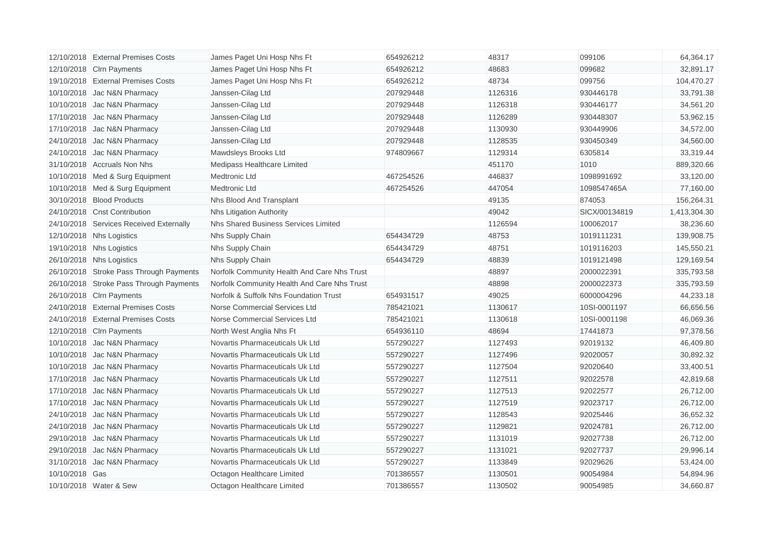|                | 12/10/2018 External Premises Costs      | James Paget Uni Hosp Nhs Ft                 | 654926212 | 48317   | 099106        | 64,364.17    |
|----------------|-----------------------------------------|---------------------------------------------|-----------|---------|---------------|--------------|
|                | 12/10/2018 Clrn Payments                | James Paget Uni Hosp Nhs Ft                 | 654926212 | 48683   | 099682        | 32,891.17    |
|                | 19/10/2018 External Premises Costs      | James Paget Uni Hosp Nhs Ft                 | 654926212 | 48734   | 099756        | 104,470.27   |
|                | 10/10/2018 Jac N&N Pharmacy             | Janssen-Cilag Ltd                           | 207929448 | 1126316 | 930446178     | 33,791.38    |
|                | 10/10/2018 Jac N&N Pharmacy             | Janssen-Cilag Ltd                           | 207929448 | 1126318 | 930446177     | 34,561.20    |
|                | 17/10/2018 Jac N&N Pharmacy             | Janssen-Cilag Ltd                           | 207929448 | 1126289 | 930448307     | 53,962.15    |
|                | 17/10/2018 Jac N&N Pharmacy             | Janssen-Cilag Ltd                           | 207929448 | 1130930 | 930449906     | 34,572.00    |
|                | 24/10/2018 Jac N&N Pharmacy             | Janssen-Cilag Ltd                           | 207929448 | 1128535 | 930450349     | 34,560.00    |
|                | 24/10/2018 Jac N&N Pharmacy             | Mawdsleys Brooks Ltd                        | 974809667 | 1129314 | 6305814       | 33,319.44    |
|                | 31/10/2018 Accruals Non Nhs             | Medipass Healthcare Limited                 |           | 451170  | 1010          | 889,320.66   |
|                | 10/10/2018 Med & Surg Equipment         | Medtronic Ltd                               | 467254526 | 446837  | 1098991692    | 33,120.00    |
|                | 10/10/2018 Med & Surg Equipment         | <b>Medtronic Ltd</b>                        | 467254526 | 447054  | 1098547465A   | 77,160.00    |
|                | 30/10/2018 Blood Products               | Nhs Blood And Transplant                    |           | 49135   | 874053        | 156,264.31   |
|                | 24/10/2018 Cnst Contribution            | <b>Nhs Litigation Authority</b>             |           | 49042   | SICX/00134819 | 1,413,304.30 |
|                | 24/10/2018 Services Received Externally | Nhs Shared Business Services Limited        |           | 1126594 | 100062017     | 38,236.60    |
|                | 12/10/2018 Nhs Logistics                | Nhs Supply Chain                            | 654434729 | 48753   | 1019111231    | 139,908.75   |
|                | 19/10/2018 Nhs Logistics                | Nhs Supply Chain                            | 654434729 | 48751   | 1019116203    | 145,550.21   |
|                | 26/10/2018 Nhs Logistics                | Nhs Supply Chain                            | 654434729 | 48839   | 1019121498    | 129,169.54   |
|                | 26/10/2018 Stroke Pass Through Payments | Norfolk Community Health And Care Nhs Trust |           | 48897   | 2000022391    | 335,793.58   |
|                | 26/10/2018 Stroke Pass Through Payments | Norfolk Community Health And Care Nhs Trust |           | 48898   | 2000022373    | 335,793.59   |
|                | 26/10/2018 Clrn Payments                | Norfolk & Suffolk Nhs Foundation Trust      | 654931517 | 49025   | 6000004296    | 44,233.18    |
|                | 24/10/2018 External Premises Costs      | Norse Commercial Services Ltd               | 785421021 | 1130617 | 10SI-0001197  | 66,656.56    |
|                | 24/10/2018 External Premises Costs      | Norse Commercial Services Ltd               | 785421021 | 1130618 | 10SI-0001198  | 46,069.36    |
|                | 12/10/2018 Clrn Payments                | North West Anglia Nhs Ft                    | 654936110 | 48694   | 17441873      | 97,378.56    |
|                | 10/10/2018 Jac N&N Pharmacy             | Novartis Pharmaceuticals Uk Ltd             | 557290227 | 1127493 | 92019132      | 46,409.80    |
|                | 10/10/2018 Jac N&N Pharmacy             | Novartis Pharmaceuticals Uk Ltd             | 557290227 | 1127496 | 92020057      | 30,892.32    |
|                | 10/10/2018 Jac N&N Pharmacy             | Novartis Pharmaceuticals Uk Ltd             | 557290227 | 1127504 | 92020640      | 33,400.51    |
|                | 17/10/2018 Jac N&N Pharmacy             | Novartis Pharmaceuticals Uk Ltd             | 557290227 | 1127511 | 92022578      | 42,819.68    |
|                | 17/10/2018 Jac N&N Pharmacy             | Novartis Pharmaceuticals Uk Ltd             | 557290227 | 1127513 | 92022577      | 26,712.00    |
|                | 17/10/2018 Jac N&N Pharmacy             | Novartis Pharmaceuticals Uk Ltd             | 557290227 | 1127519 | 92023717      | 26,712.00    |
|                | 24/10/2018 Jac N&N Pharmacy             | Novartis Pharmaceuticals Uk Ltd             | 557290227 | 1128543 | 92025446      | 36,652.32    |
|                | 24/10/2018 Jac N&N Pharmacy             | Novartis Pharmaceuticals Uk Ltd             | 557290227 | 1129821 | 92024781      | 26,712.00    |
|                | 29/10/2018 Jac N&N Pharmacy             | Novartis Pharmaceuticals Uk Ltd             | 557290227 | 1131019 | 92027738      | 26,712.00    |
|                | 29/10/2018 Jac N&N Pharmacy             | Novartis Pharmaceuticals Uk Ltd             | 557290227 | 1131021 | 92027737      | 29,996.14    |
|                | 31/10/2018 Jac N&N Pharmacy             | Novartis Pharmaceuticals Uk Ltd             | 557290227 | 1133849 | 92029626      | 53,424.00    |
| 10/10/2018 Gas |                                         | Octagon Healthcare Limited                  | 701386557 | 1130501 | 90054984      | 54,894.96    |
|                | 10/10/2018 Water & Sew                  | Octagon Healthcare Limited                  | 701386557 | 1130502 | 90054985      | 34,660.87    |